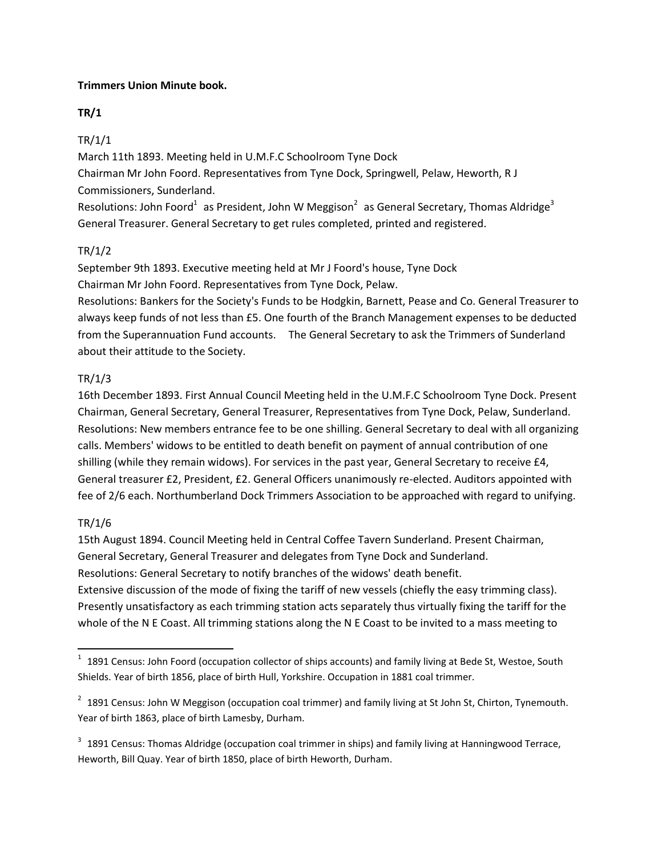### **Trimmers Union Minute book.**

### **TR/1**

# TR/1/1

March 11th 1893. Meeting held in U.M.F.C Schoolroom Tyne Dock

Chairman Mr John Foord. Representatives from Tyne Dock, Springwell, Pelaw, Heworth, R J Commissioners, Sunderland.

Resolutions: John Foord<sup>1</sup> as President, John W Meggison<sup>2</sup> as General Secretary, Thomas Aldridge<sup>3</sup> General Treasurer. General Secretary to get rules completed, printed and registered.

# TR/1/2

September 9th 1893. Executive meeting held at Mr J Foord's house, Tyne Dock Chairman Mr John Foord. Representatives from Tyne Dock, Pelaw.

Resolutions: Bankers for the Society's Funds to be Hodgkin, Barnett, Pease and Co. General Treasurer to always keep funds of not less than £5. One fourth of the Branch Management expenses to be deducted from the Superannuation Fund accounts. The General Secretary to ask the Trimmers of Sunderland about their attitude to the Society.

# TR/1/3

16th December 1893. First Annual Council Meeting held in the U.M.F.C Schoolroom Tyne Dock. Present Chairman, General Secretary, General Treasurer, Representatives from Tyne Dock, Pelaw, Sunderland. Resolutions: New members entrance fee to be one shilling. General Secretary to deal with all organizing calls. Members' widows to be entitled to death benefit on payment of annual contribution of one shilling (while they remain widows). For services in the past year, General Secretary to receive £4, General treasurer £2, President, £2. General Officers unanimously re-elected. Auditors appointed with fee of 2/6 each. Northumberland Dock Trimmers Association to be approached with regard to unifying.

# TR/1/6

 $\overline{\phantom{a}}$ 

15th August 1894. Council Meeting held in Central Coffee Tavern Sunderland. Present Chairman, General Secretary, General Treasurer and delegates from Tyne Dock and Sunderland. Resolutions: General Secretary to notify branches of the widows' death benefit. Extensive discussion of the mode of fixing the tariff of new vessels (chiefly the easy trimming class). Presently unsatisfactory as each trimming station acts separately thus virtually fixing the tariff for the whole of the N E Coast. All trimming stations along the N E Coast to be invited to a mass meeting to

 $1$  1891 Census: John Foord (occupation collector of ships accounts) and family living at Bede St, Westoe, South Shields. Year of birth 1856, place of birth Hull, Yorkshire. Occupation in 1881 coal trimmer.

 $2$  1891 Census: John W Meggison (occupation coal trimmer) and family living at St John St, Chirton, Tynemouth. Year of birth 1863, place of birth Lamesby, Durham.

 $3$  1891 Census: Thomas Aldridge (occupation coal trimmer in ships) and family living at Hanningwood Terrace, Heworth, Bill Quay. Year of birth 1850, place of birth Heworth, Durham.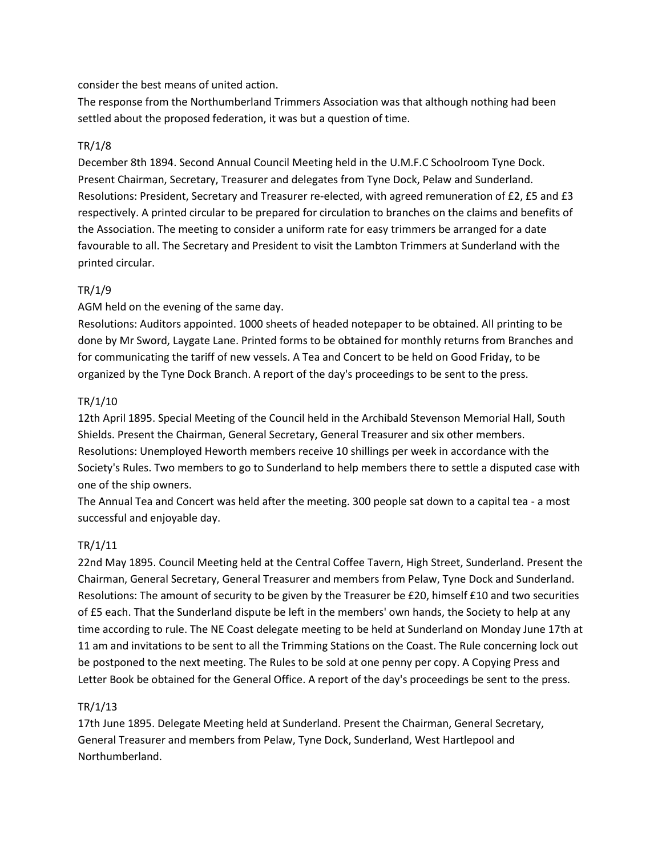#### consider the best means of united action.

The response from the Northumberland Trimmers Association was that although nothing had been settled about the proposed federation, it was but a question of time.

### TR/1/8

December 8th 1894. Second Annual Council Meeting held in the U.M.F.C Schoolroom Tyne Dock. Present Chairman, Secretary, Treasurer and delegates from Tyne Dock, Pelaw and Sunderland. Resolutions: President, Secretary and Treasurer re-elected, with agreed remuneration of £2, £5 and £3 respectively. A printed circular to be prepared for circulation to branches on the claims and benefits of the Association. The meeting to consider a uniform rate for easy trimmers be arranged for a date favourable to all. The Secretary and President to visit the Lambton Trimmers at Sunderland with the printed circular.

### TR/1/9

### AGM held on the evening of the same day.

Resolutions: Auditors appointed. 1000 sheets of headed notepaper to be obtained. All printing to be done by Mr Sword, Laygate Lane. Printed forms to be obtained for monthly returns from Branches and for communicating the tariff of new vessels. A Tea and Concert to be held on Good Friday, to be organized by the Tyne Dock Branch. A report of the day's proceedings to be sent to the press.

### TR/1/10

12th April 1895. Special Meeting of the Council held in the Archibald Stevenson Memorial Hall, South Shields. Present the Chairman, General Secretary, General Treasurer and six other members. Resolutions: Unemployed Heworth members receive 10 shillings per week in accordance with the Society's Rules. Two members to go to Sunderland to help members there to settle a disputed case with one of the ship owners.

The Annual Tea and Concert was held after the meeting. 300 people sat down to a capital tea - a most successful and enjoyable day.

### TR/1/11

22nd May 1895. Council Meeting held at the Central Coffee Tavern, High Street, Sunderland. Present the Chairman, General Secretary, General Treasurer and members from Pelaw, Tyne Dock and Sunderland. Resolutions: The amount of security to be given by the Treasurer be £20, himself £10 and two securities of £5 each. That the Sunderland dispute be left in the members' own hands, the Society to help at any time according to rule. The NE Coast delegate meeting to be held at Sunderland on Monday June 17th at 11 am and invitations to be sent to all the Trimming Stations on the Coast. The Rule concerning lock out be postponed to the next meeting. The Rules to be sold at one penny per copy. A Copying Press and Letter Book be obtained for the General Office. A report of the day's proceedings be sent to the press.

#### TR/1/13

17th June 1895. Delegate Meeting held at Sunderland. Present the Chairman, General Secretary, General Treasurer and members from Pelaw, Tyne Dock, Sunderland, West Hartlepool and Northumberland.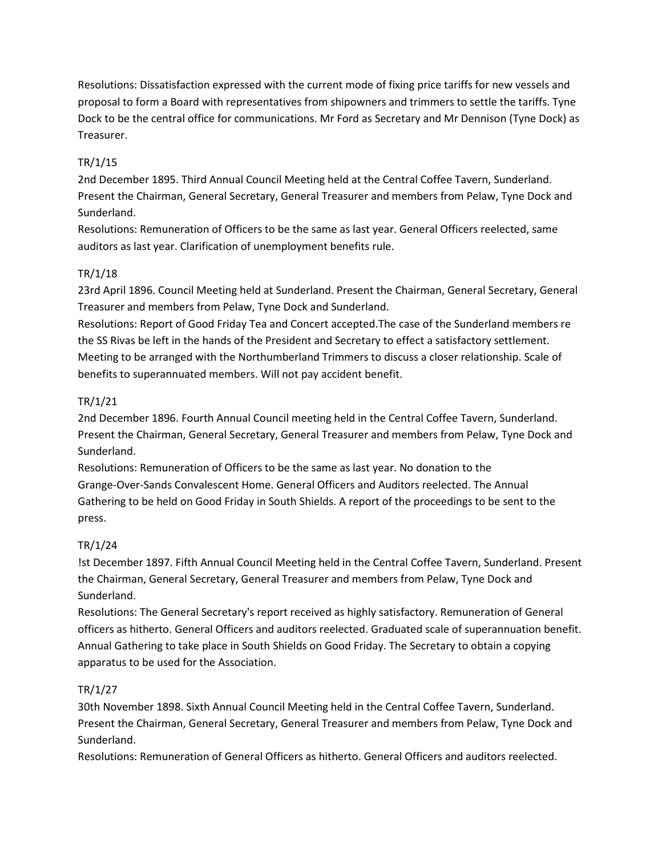Resolutions: Dissatisfaction expressed with the current mode of fixing price tariffs for new vessels and proposal to form a Board with representatives from shipowners and trimmers to settle the tariffs. Tyne Dock to be the central office for communications. Mr Ford as Secretary and Mr Dennison (Tyne Dock) as Treasurer.

# TR/1/15

2nd December 1895. Third Annual Council Meeting held at the Central Coffee Tavern, Sunderland. Present the Chairman, General Secretary, General Treasurer and members from Pelaw, Tyne Dock and Sunderland.

Resolutions: Remuneration of Officers to be the same as last year. General Officers reelected, same auditors as last year. Clarification of unemployment benefits rule.

# TR/1/18

23rd April 1896. Council Meeting held at Sunderland. Present the Chairman, General Secretary, General Treasurer and members from Pelaw, Tyne Dock and Sunderland.

Resolutions: Report of Good Friday Tea and Concert accepted.The case of the Sunderland members re the SS Rivas be left in the hands of the President and Secretary to effect a satisfactory settlement. Meeting to be arranged with the Northumberland Trimmers to discuss a closer relationship. Scale of benefits to superannuated members. Will not pay accident benefit.

# TR/1/21

2nd December 1896. Fourth Annual Council meeting held in the Central Coffee Tavern, Sunderland. Present the Chairman, General Secretary, General Treasurer and members from Pelaw, Tyne Dock and Sunderland.

Resolutions: Remuneration of Officers to be the same as last year. No donation to the Grange-Over-Sands Convalescent Home. General Officers and Auditors reelected. The Annual Gathering to be held on Good Friday in South Shields. A report of the proceedings to be sent to the press.

# TR/1/24

!st December 1897. Fifth Annual Council Meeting held in the Central Coffee Tavern, Sunderland. Present the Chairman, General Secretary, General Treasurer and members from Pelaw, Tyne Dock and Sunderland.

Resolutions: The General Secretary's report received as highly satisfactory. Remuneration of General officers as hitherto. General Officers and auditors reelected. Graduated scale of superannuation benefit. Annual Gathering to take place in South Shields on Good Friday. The Secretary to obtain a copying apparatus to be used for the Association.

# TR/1/27

30th November 1898. Sixth Annual Council Meeting held in the Central Coffee Tavern, Sunderland. Present the Chairman, General Secretary, General Treasurer and members from Pelaw, Tyne Dock and Sunderland.

Resolutions: Remuneration of General Officers as hitherto. General Officers and auditors reelected.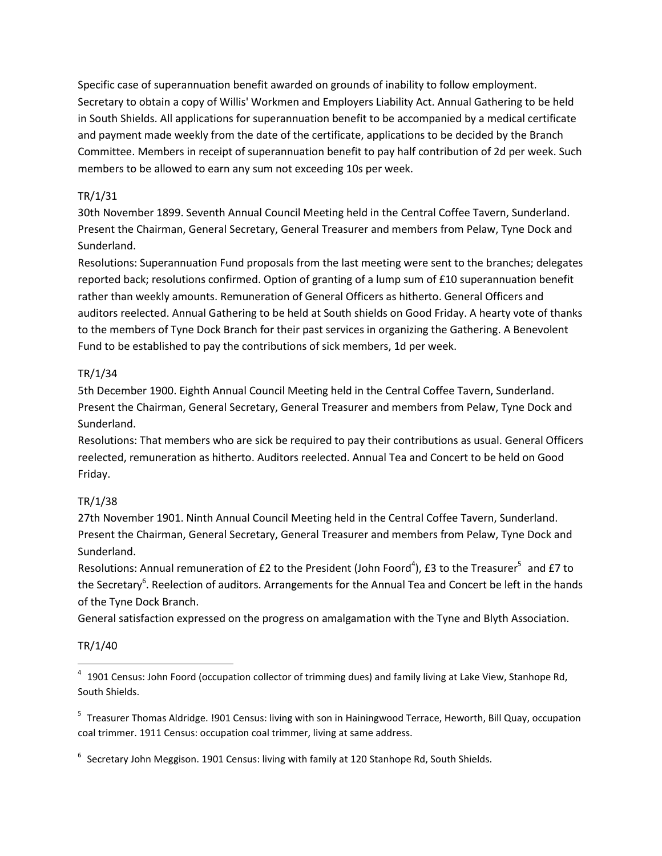Specific case of superannuation benefit awarded on grounds of inability to follow employment. Secretary to obtain a copy of Willis' Workmen and Employers Liability Act. Annual Gathering to be held in South Shields. All applications for superannuation benefit to be accompanied by a medical certificate and payment made weekly from the date of the certificate, applications to be decided by the Branch Committee. Members in receipt of superannuation benefit to pay half contribution of 2d per week. Such members to be allowed to earn any sum not exceeding 10s per week.

### TR/1/31

30th November 1899. Seventh Annual Council Meeting held in the Central Coffee Tavern, Sunderland. Present the Chairman, General Secretary, General Treasurer and members from Pelaw, Tyne Dock and Sunderland.

Resolutions: Superannuation Fund proposals from the last meeting were sent to the branches; delegates reported back; resolutions confirmed. Option of granting of a lump sum of £10 superannuation benefit rather than weekly amounts. Remuneration of General Officers as hitherto. General Officers and auditors reelected. Annual Gathering to be held at South shields on Good Friday. A hearty vote of thanks to the members of Tyne Dock Branch for their past services in organizing the Gathering. A Benevolent Fund to be established to pay the contributions of sick members, 1d per week.

### TR/1/34

5th December 1900. Eighth Annual Council Meeting held in the Central Coffee Tavern, Sunderland. Present the Chairman, General Secretary, General Treasurer and members from Pelaw, Tyne Dock and Sunderland.

Resolutions: That members who are sick be required to pay their contributions as usual. General Officers reelected, remuneration as hitherto. Auditors reelected. Annual Tea and Concert to be held on Good Friday.

# TR/1/38

27th November 1901. Ninth Annual Council Meeting held in the Central Coffee Tavern, Sunderland. Present the Chairman, General Secretary, General Treasurer and members from Pelaw, Tyne Dock and Sunderland.

Resolutions: Annual remuneration of £2 to the President (John Foord<sup>4</sup>), £3 to the Treasurer<sup>5</sup> and £7 to the Secretary<sup>6</sup>. Reelection of auditors. Arrangements for the Annual Tea and Concert be left in the hands of the Tyne Dock Branch.

General satisfaction expressed on the progress on amalgamation with the Tyne and Blyth Association.

### TR/1/40

 $\overline{a}$ 

<sup>&</sup>lt;sup>4</sup> 1901 Census: John Foord (occupation collector of trimming dues) and family living at Lake View, Stanhope Rd, South Shields.

<sup>&</sup>lt;sup>5</sup> Treasurer Thomas Aldridge. !901 Census: living with son in Hainingwood Terrace, Heworth, Bill Quay, occupation coal trimmer. 1911 Census: occupation coal trimmer, living at same address.

 $^6$  Secretary John Meggison. 1901 Census: living with family at 120 Stanhope Rd, South Shields.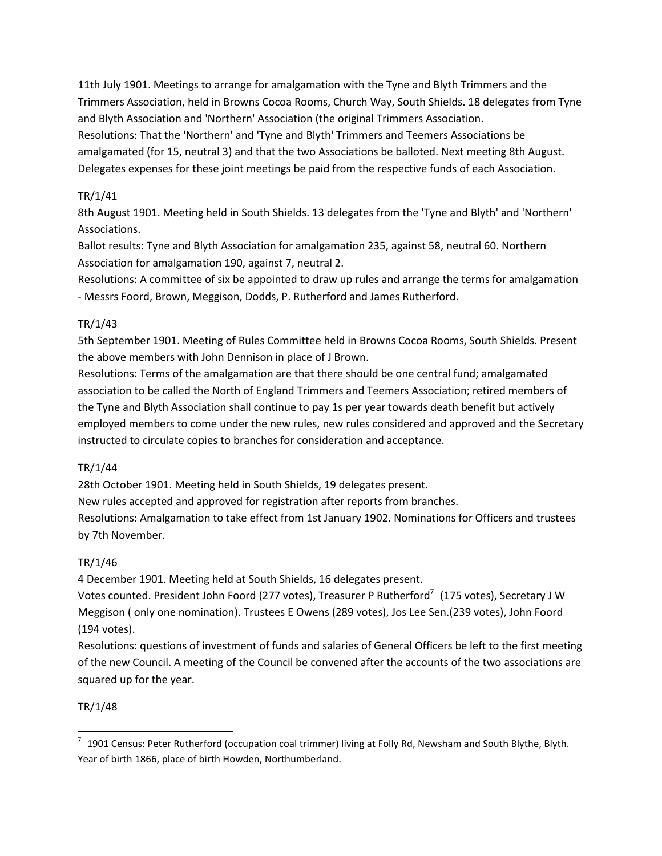11th July 1901. Meetings to arrange for amalgamation with the Tyne and Blyth Trimmers and the Trimmers Association, held in Browns Cocoa Rooms, Church Way, South Shields. 18 delegates from Tyne and Blyth Association and 'Northern' Association (the original Trimmers Association. Resolutions: That the 'Northern' and 'Tyne and Blyth' Trimmers and Teemers Associations be amalgamated (for 15, neutral 3) and that the two Associations be balloted. Next meeting 8th August. Delegates expenses for these joint meetings be paid from the respective funds of each Association.

### TR/1/41

8th August 1901. Meeting held in South Shields. 13 delegates from the 'Tyne and Blyth' and 'Northern' Associations.

Ballot results: Tyne and Blyth Association for amalgamation 235, against 58, neutral 60. Northern Association for amalgamation 190, against 7, neutral 2.

Resolutions: A committee of six be appointed to draw up rules and arrange the terms for amalgamation - Messrs Foord, Brown, Meggison, Dodds, P. Rutherford and James Rutherford.

### TR/1/43

5th September 1901. Meeting of Rules Committee held in Browns Cocoa Rooms, South Shields. Present the above members with John Dennison in place of J Brown.

Resolutions: Terms of the amalgamation are that there should be one central fund; amalgamated association to be called the North of England Trimmers and Teemers Association; retired members of the Tyne and Blyth Association shall continue to pay 1s per year towards death benefit but actively employed members to come under the new rules, new rules considered and approved and the Secretary instructed to circulate copies to branches for consideration and acceptance.

# TR/1/44

28th October 1901. Meeting held in South Shields, 19 delegates present.

New rules accepted and approved for registration after reports from branches.

Resolutions: Amalgamation to take effect from 1st January 1902. Nominations for Officers and trustees by 7th November.

# TR/1/46

4 December 1901. Meeting held at South Shields, 16 delegates present.

Votes counted. President John Foord (277 votes), Treasurer P Rutherford<sup>7</sup> (175 votes), Secretary J W Meggison ( only one nomination). Trustees E Owens (289 votes), Jos Lee Sen.(239 votes), John Foord (194 votes).

Resolutions: questions of investment of funds and salaries of General Officers be left to the first meeting of the new Council. A meeting of the Council be convened after the accounts of the two associations are squared up for the year.

# TR/1/48

 $\overline{\phantom{a}}$ 

 $^7$  1901 Census: Peter Rutherford (occupation coal trimmer) living at Folly Rd, Newsham and South Blythe, Blyth. Year of birth 1866, place of birth Howden, Northumberland.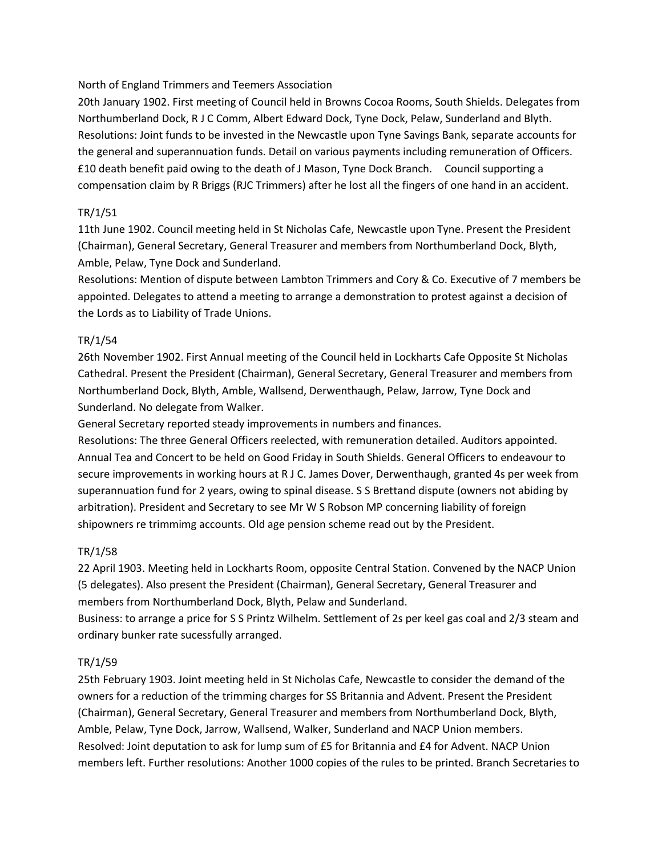North of England Trimmers and Teemers Association

20th January 1902. First meeting of Council held in Browns Cocoa Rooms, South Shields. Delegates from Northumberland Dock, R J C Comm, Albert Edward Dock, Tyne Dock, Pelaw, Sunderland and Blyth. Resolutions: Joint funds to be invested in the Newcastle upon Tyne Savings Bank, separate accounts for the general and superannuation funds. Detail on various payments including remuneration of Officers. £10 death benefit paid owing to the death of J Mason, Tyne Dock Branch. Council supporting a compensation claim by R Briggs (RJC Trimmers) after he lost all the fingers of one hand in an accident.

### TR/1/51

11th June 1902. Council meeting held in St Nicholas Cafe, Newcastle upon Tyne. Present the President (Chairman), General Secretary, General Treasurer and members from Northumberland Dock, Blyth, Amble, Pelaw, Tyne Dock and Sunderland.

Resolutions: Mention of dispute between Lambton Trimmers and Cory & Co. Executive of 7 members be appointed. Delegates to attend a meeting to arrange a demonstration to protest against a decision of the Lords as to Liability of Trade Unions.

### TR/1/54

26th November 1902. First Annual meeting of the Council held in Lockharts Cafe Opposite St Nicholas Cathedral. Present the President (Chairman), General Secretary, General Treasurer and members from Northumberland Dock, Blyth, Amble, Wallsend, Derwenthaugh, Pelaw, Jarrow, Tyne Dock and Sunderland. No delegate from Walker.

General Secretary reported steady improvements in numbers and finances.

Resolutions: The three General Officers reelected, with remuneration detailed. Auditors appointed. Annual Tea and Concert to be held on Good Friday in South Shields. General Officers to endeavour to secure improvements in working hours at R J C. James Dover, Derwenthaugh, granted 4s per week from superannuation fund for 2 years, owing to spinal disease. S S Brettand dispute (owners not abiding by arbitration). President and Secretary to see Mr W S Robson MP concerning liability of foreign shipowners re trimmimg accounts. Old age pension scheme read out by the President.

### TR/1/58

22 April 1903. Meeting held in Lockharts Room, opposite Central Station. Convened by the NACP Union (5 delegates). Also present the President (Chairman), General Secretary, General Treasurer and members from Northumberland Dock, Blyth, Pelaw and Sunderland.

Business: to arrange a price for S S Printz Wilhelm. Settlement of 2s per keel gas coal and 2/3 steam and ordinary bunker rate sucessfully arranged.

# TR/1/59

25th February 1903. Joint meeting held in St Nicholas Cafe, Newcastle to consider the demand of the owners for a reduction of the trimming charges for SS Britannia and Advent. Present the President (Chairman), General Secretary, General Treasurer and members from Northumberland Dock, Blyth, Amble, Pelaw, Tyne Dock, Jarrow, Wallsend, Walker, Sunderland and NACP Union members. Resolved: Joint deputation to ask for lump sum of £5 for Britannia and £4 for Advent. NACP Union members left. Further resolutions: Another 1000 copies of the rules to be printed. Branch Secretaries to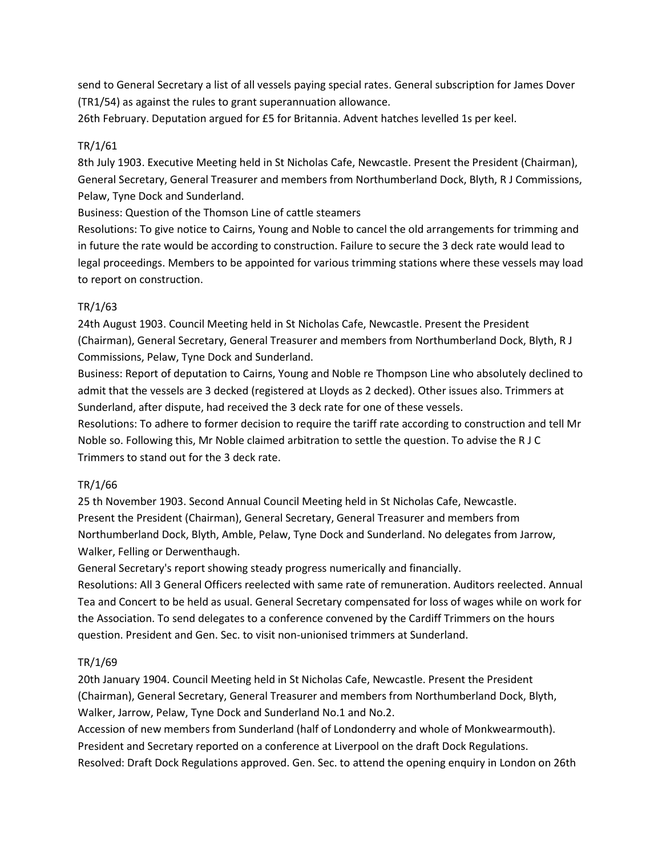send to General Secretary a list of all vessels paying special rates. General subscription for James Dover (TR1/54) as against the rules to grant superannuation allowance.

26th February. Deputation argued for £5 for Britannia. Advent hatches levelled 1s per keel.

### TR/1/61

8th July 1903. Executive Meeting held in St Nicholas Cafe, Newcastle. Present the President (Chairman), General Secretary, General Treasurer and members from Northumberland Dock, Blyth, R J Commissions, Pelaw, Tyne Dock and Sunderland.

Business: Question of the Thomson Line of cattle steamers

Resolutions: To give notice to Cairns, Young and Noble to cancel the old arrangements for trimming and in future the rate would be according to construction. Failure to secure the 3 deck rate would lead to legal proceedings. Members to be appointed for various trimming stations where these vessels may load to report on construction.

### TR/1/63

24th August 1903. Council Meeting held in St Nicholas Cafe, Newcastle. Present the President (Chairman), General Secretary, General Treasurer and members from Northumberland Dock, Blyth, R J Commissions, Pelaw, Tyne Dock and Sunderland.

Business: Report of deputation to Cairns, Young and Noble re Thompson Line who absolutely declined to admit that the vessels are 3 decked (registered at Lloyds as 2 decked). Other issues also. Trimmers at Sunderland, after dispute, had received the 3 deck rate for one of these vessels.

Resolutions: To adhere to former decision to require the tariff rate according to construction and tell Mr Noble so. Following this, Mr Noble claimed arbitration to settle the question. To advise the R J C Trimmers to stand out for the 3 deck rate.

# TR/1/66

25 th November 1903. Second Annual Council Meeting held in St Nicholas Cafe, Newcastle. Present the President (Chairman), General Secretary, General Treasurer and members from Northumberland Dock, Blyth, Amble, Pelaw, Tyne Dock and Sunderland. No delegates from Jarrow, Walker, Felling or Derwenthaugh.

General Secretary's report showing steady progress numerically and financially.

Resolutions: All 3 General Officers reelected with same rate of remuneration. Auditors reelected. Annual Tea and Concert to be held as usual. General Secretary compensated for loss of wages while on work for the Association. To send delegates to a conference convened by the Cardiff Trimmers on the hours question. President and Gen. Sec. to visit non-unionised trimmers at Sunderland.

# TR/1/69

20th January 1904. Council Meeting held in St Nicholas Cafe, Newcastle. Present the President (Chairman), General Secretary, General Treasurer and members from Northumberland Dock, Blyth, Walker, Jarrow, Pelaw, Tyne Dock and Sunderland No.1 and No.2.

Accession of new members from Sunderland (half of Londonderry and whole of Monkwearmouth). President and Secretary reported on a conference at Liverpool on the draft Dock Regulations. Resolved: Draft Dock Regulations approved. Gen. Sec. to attend the opening enquiry in London on 26th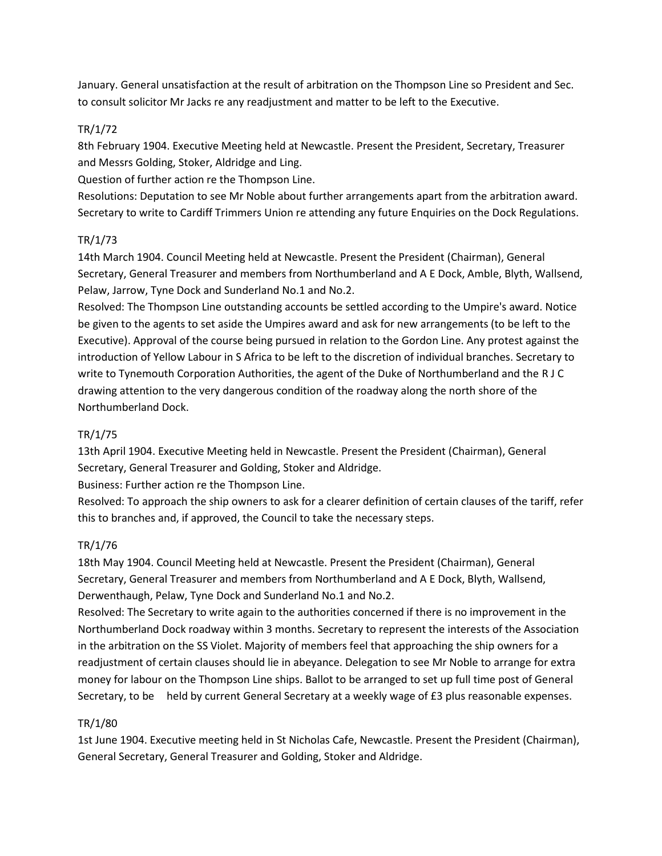January. General unsatisfaction at the result of arbitration on the Thompson Line so President and Sec. to consult solicitor Mr Jacks re any readjustment and matter to be left to the Executive.

### TR/1/72

8th February 1904. Executive Meeting held at Newcastle. Present the President, Secretary, Treasurer and Messrs Golding, Stoker, Aldridge and Ling.

Question of further action re the Thompson Line.

Resolutions: Deputation to see Mr Noble about further arrangements apart from the arbitration award. Secretary to write to Cardiff Trimmers Union re attending any future Enquiries on the Dock Regulations.

### TR/1/73

14th March 1904. Council Meeting held at Newcastle. Present the President (Chairman), General Secretary, General Treasurer and members from Northumberland and A E Dock, Amble, Blyth, Wallsend, Pelaw, Jarrow, Tyne Dock and Sunderland No.1 and No.2.

Resolved: The Thompson Line outstanding accounts be settled according to the Umpire's award. Notice be given to the agents to set aside the Umpires award and ask for new arrangements (to be left to the Executive). Approval of the course being pursued in relation to the Gordon Line. Any protest against the introduction of Yellow Labour in S Africa to be left to the discretion of individual branches. Secretary to write to Tynemouth Corporation Authorities, the agent of the Duke of Northumberland and the R J C drawing attention to the very dangerous condition of the roadway along the north shore of the Northumberland Dock.

### TR/1/75

13th April 1904. Executive Meeting held in Newcastle. Present the President (Chairman), General Secretary, General Treasurer and Golding, Stoker and Aldridge.

Business: Further action re the Thompson Line.

Resolved: To approach the ship owners to ask for a clearer definition of certain clauses of the tariff, refer this to branches and, if approved, the Council to take the necessary steps.

# TR/1/76

18th May 1904. Council Meeting held at Newcastle. Present the President (Chairman), General Secretary, General Treasurer and members from Northumberland and A E Dock, Blyth, Wallsend, Derwenthaugh, Pelaw, Tyne Dock and Sunderland No.1 and No.2.

Resolved: The Secretary to write again to the authorities concerned if there is no improvement in the Northumberland Dock roadway within 3 months. Secretary to represent the interests of the Association in the arbitration on the SS Violet. Majority of members feel that approaching the ship owners for a readjustment of certain clauses should lie in abeyance. Delegation to see Mr Noble to arrange for extra money for labour on the Thompson Line ships. Ballot to be arranged to set up full time post of General Secretary, to be held by current General Secretary at a weekly wage of £3 plus reasonable expenses.

# TR/1/80

1st June 1904. Executive meeting held in St Nicholas Cafe, Newcastle. Present the President (Chairman), General Secretary, General Treasurer and Golding, Stoker and Aldridge.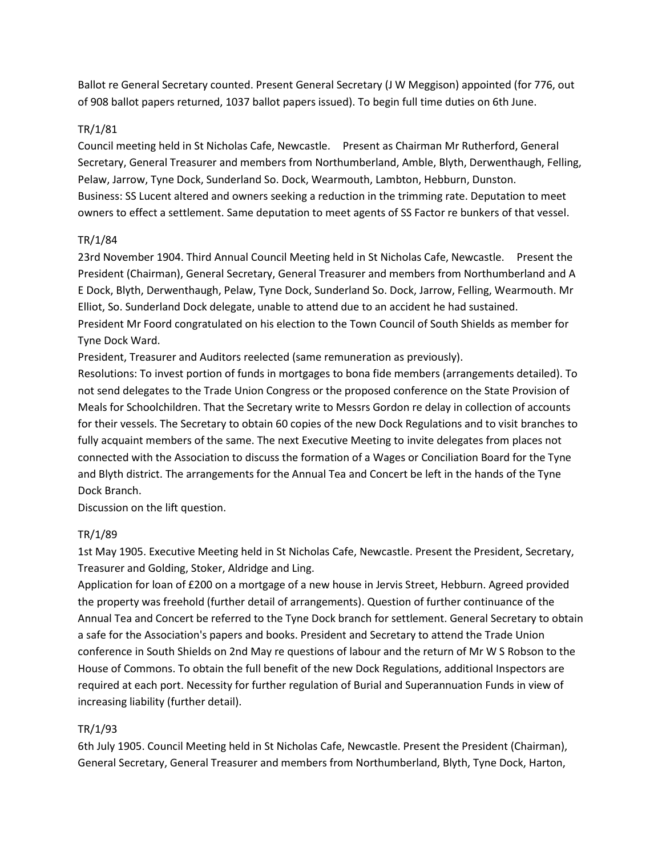Ballot re General Secretary counted. Present General Secretary (J W Meggison) appointed (for 776, out of 908 ballot papers returned, 1037 ballot papers issued). To begin full time duties on 6th June.

### TR/1/81

Council meeting held in St Nicholas Cafe, Newcastle. Present as Chairman Mr Rutherford, General Secretary, General Treasurer and members from Northumberland, Amble, Blyth, Derwenthaugh, Felling, Pelaw, Jarrow, Tyne Dock, Sunderland So. Dock, Wearmouth, Lambton, Hebburn, Dunston. Business: SS Lucent altered and owners seeking a reduction in the trimming rate. Deputation to meet owners to effect a settlement. Same deputation to meet agents of SS Factor re bunkers of that vessel.

#### TR/1/84

23rd November 1904. Third Annual Council Meeting held in St Nicholas Cafe, Newcastle. Present the President (Chairman), General Secretary, General Treasurer and members from Northumberland and A E Dock, Blyth, Derwenthaugh, Pelaw, Tyne Dock, Sunderland So. Dock, Jarrow, Felling, Wearmouth. Mr Elliot, So. Sunderland Dock delegate, unable to attend due to an accident he had sustained. President Mr Foord congratulated on his election to the Town Council of South Shields as member for Tyne Dock Ward.

President, Treasurer and Auditors reelected (same remuneration as previously).

Resolutions: To invest portion of funds in mortgages to bona fide members (arrangements detailed). To not send delegates to the Trade Union Congress or the proposed conference on the State Provision of Meals for Schoolchildren. That the Secretary write to Messrs Gordon re delay in collection of accounts for their vessels. The Secretary to obtain 60 copies of the new Dock Regulations and to visit branches to fully acquaint members of the same. The next Executive Meeting to invite delegates from places not connected with the Association to discuss the formation of a Wages or Conciliation Board for the Tyne and Blyth district. The arrangements for the Annual Tea and Concert be left in the hands of the Tyne Dock Branch.

Discussion on the lift question.

### TR/1/89

1st May 1905. Executive Meeting held in St Nicholas Cafe, Newcastle. Present the President, Secretary, Treasurer and Golding, Stoker, Aldridge and Ling.

Application for loan of £200 on a mortgage of a new house in Jervis Street, Hebburn. Agreed provided the property was freehold (further detail of arrangements). Question of further continuance of the Annual Tea and Concert be referred to the Tyne Dock branch for settlement. General Secretary to obtain a safe for the Association's papers and books. President and Secretary to attend the Trade Union conference in South Shields on 2nd May re questions of labour and the return of Mr W S Robson to the House of Commons. To obtain the full benefit of the new Dock Regulations, additional Inspectors are required at each port. Necessity for further regulation of Burial and Superannuation Funds in view of increasing liability (further detail).

### TR/1/93

6th July 1905. Council Meeting held in St Nicholas Cafe, Newcastle. Present the President (Chairman), General Secretary, General Treasurer and members from Northumberland, Blyth, Tyne Dock, Harton,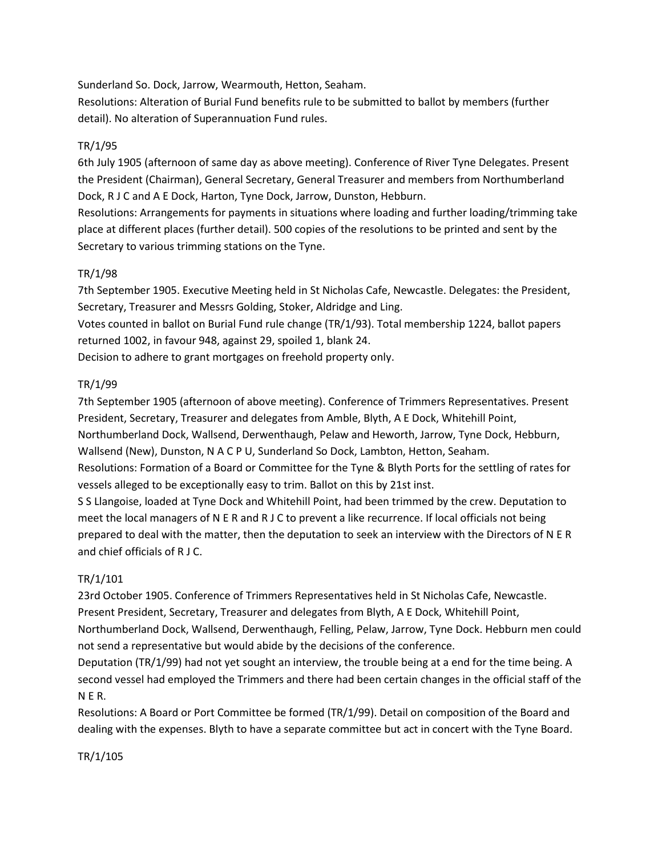Sunderland So. Dock, Jarrow, Wearmouth, Hetton, Seaham.

Resolutions: Alteration of Burial Fund benefits rule to be submitted to ballot by members (further detail). No alteration of Superannuation Fund rules.

### TR/1/95

6th July 1905 (afternoon of same day as above meeting). Conference of River Tyne Delegates. Present the President (Chairman), General Secretary, General Treasurer and members from Northumberland Dock, R J C and A E Dock, Harton, Tyne Dock, Jarrow, Dunston, Hebburn.

Resolutions: Arrangements for payments in situations where loading and further loading/trimming take place at different places (further detail). 500 copies of the resolutions to be printed and sent by the Secretary to various trimming stations on the Tyne.

### TR/1/98

7th September 1905. Executive Meeting held in St Nicholas Cafe, Newcastle. Delegates: the President, Secretary, Treasurer and Messrs Golding, Stoker, Aldridge and Ling.

Votes counted in ballot on Burial Fund rule change (TR/1/93). Total membership 1224, ballot papers returned 1002, in favour 948, against 29, spoiled 1, blank 24.

Decision to adhere to grant mortgages on freehold property only.

### TR/1/99

7th September 1905 (afternoon of above meeting). Conference of Trimmers Representatives. Present President, Secretary, Treasurer and delegates from Amble, Blyth, A E Dock, Whitehill Point, Northumberland Dock, Wallsend, Derwenthaugh, Pelaw and Heworth, Jarrow, Tyne Dock, Hebburn, Wallsend (New), Dunston, N A C P U, Sunderland So Dock, Lambton, Hetton, Seaham. Resolutions: Formation of a Board or Committee for the Tyne & Blyth Ports for the settling of rates for

vessels alleged to be exceptionally easy to trim. Ballot on this by 21st inst.

S S Llangoise, loaded at Tyne Dock and Whitehill Point, had been trimmed by the crew. Deputation to meet the local managers of N E R and R J C to prevent a like recurrence. If local officials not being prepared to deal with the matter, then the deputation to seek an interview with the Directors of N E R and chief officials of R J C.

### TR/1/101

23rd October 1905. Conference of Trimmers Representatives held in St Nicholas Cafe, Newcastle. Present President, Secretary, Treasurer and delegates from Blyth, A E Dock, Whitehill Point, Northumberland Dock, Wallsend, Derwenthaugh, Felling, Pelaw, Jarrow, Tyne Dock. Hebburn men could not send a representative but would abide by the decisions of the conference.

Deputation (TR/1/99) had not yet sought an interview, the trouble being at a end for the time being. A second vessel had employed the Trimmers and there had been certain changes in the official staff of the N E R.

Resolutions: A Board or Port Committee be formed (TR/1/99). Detail on composition of the Board and dealing with the expenses. Blyth to have a separate committee but act in concert with the Tyne Board.

### TR/1/105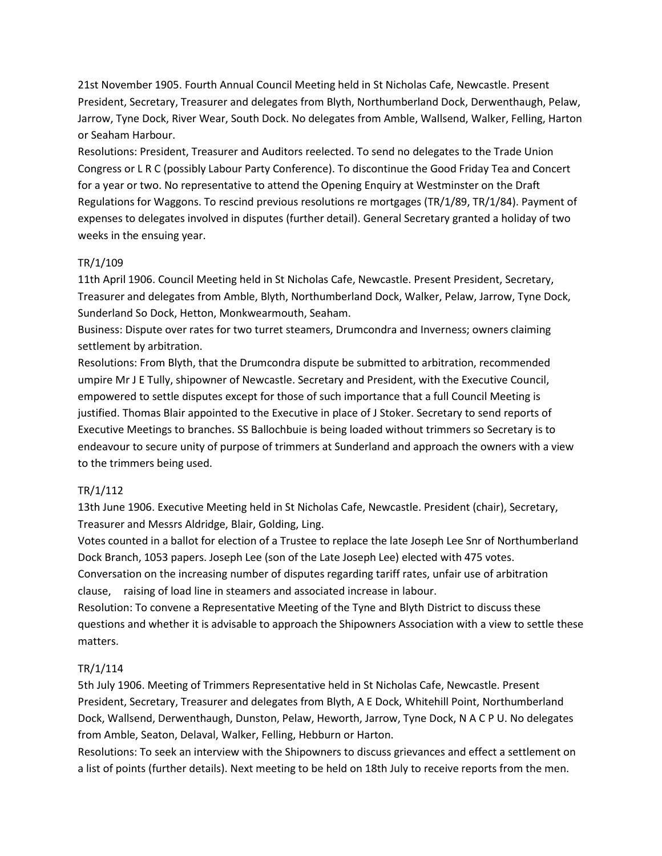21st November 1905. Fourth Annual Council Meeting held in St Nicholas Cafe, Newcastle. Present President, Secretary, Treasurer and delegates from Blyth, Northumberland Dock, Derwenthaugh, Pelaw, Jarrow, Tyne Dock, River Wear, South Dock. No delegates from Amble, Wallsend, Walker, Felling, Harton or Seaham Harbour.

Resolutions: President, Treasurer and Auditors reelected. To send no delegates to the Trade Union Congress or L R C (possibly Labour Party Conference). To discontinue the Good Friday Tea and Concert for a year or two. No representative to attend the Opening Enquiry at Westminster on the Draft Regulations for Waggons. To rescind previous resolutions re mortgages (TR/1/89, TR/1/84). Payment of expenses to delegates involved in disputes (further detail). General Secretary granted a holiday of two weeks in the ensuing year.

### TR/1/109

11th April 1906. Council Meeting held in St Nicholas Cafe, Newcastle. Present President, Secretary, Treasurer and delegates from Amble, Blyth, Northumberland Dock, Walker, Pelaw, Jarrow, Tyne Dock, Sunderland So Dock, Hetton, Monkwearmouth, Seaham.

Business: Dispute over rates for two turret steamers, Drumcondra and Inverness; owners claiming settlement by arbitration.

Resolutions: From Blyth, that the Drumcondra dispute be submitted to arbitration, recommended umpire Mr J E Tully, shipowner of Newcastle. Secretary and President, with the Executive Council, empowered to settle disputes except for those of such importance that a full Council Meeting is justified. Thomas Blair appointed to the Executive in place of J Stoker. Secretary to send reports of Executive Meetings to branches. SS Ballochbuie is being loaded without trimmers so Secretary is to endeavour to secure unity of purpose of trimmers at Sunderland and approach the owners with a view to the trimmers being used.

### TR/1/112

13th June 1906. Executive Meeting held in St Nicholas Cafe, Newcastle. President (chair), Secretary, Treasurer and Messrs Aldridge, Blair, Golding, Ling.

Votes counted in a ballot for election of a Trustee to replace the late Joseph Lee Snr of Northumberland Dock Branch, 1053 papers. Joseph Lee (son of the Late Joseph Lee) elected with 475 votes. Conversation on the increasing number of disputes regarding tariff rates, unfair use of arbitration clause, raising of load line in steamers and associated increase in labour.

Resolution: To convene a Representative Meeting of the Tyne and Blyth District to discuss these questions and whether it is advisable to approach the Shipowners Association with a view to settle these matters.

#### TR/1/114

5th July 1906. Meeting of Trimmers Representative held in St Nicholas Cafe, Newcastle. Present President, Secretary, Treasurer and delegates from Blyth, A E Dock, Whitehill Point, Northumberland Dock, Wallsend, Derwenthaugh, Dunston, Pelaw, Heworth, Jarrow, Tyne Dock, N A C P U. No delegates from Amble, Seaton, Delaval, Walker, Felling, Hebburn or Harton.

Resolutions: To seek an interview with the Shipowners to discuss grievances and effect a settlement on a list of points (further details). Next meeting to be held on 18th July to receive reports from the men.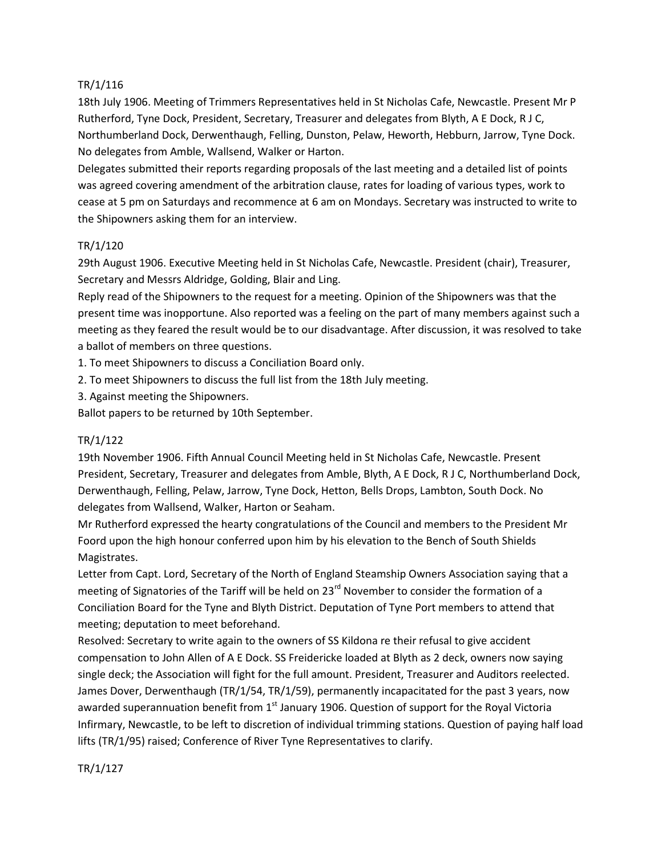### TR/1/116

18th July 1906. Meeting of Trimmers Representatives held in St Nicholas Cafe, Newcastle. Present Mr P Rutherford, Tyne Dock, President, Secretary, Treasurer and delegates from Blyth, A E Dock, R J C, Northumberland Dock, Derwenthaugh, Felling, Dunston, Pelaw, Heworth, Hebburn, Jarrow, Tyne Dock. No delegates from Amble, Wallsend, Walker or Harton.

Delegates submitted their reports regarding proposals of the last meeting and a detailed list of points was agreed covering amendment of the arbitration clause, rates for loading of various types, work to cease at 5 pm on Saturdays and recommence at 6 am on Mondays. Secretary was instructed to write to the Shipowners asking them for an interview.

### TR/1/120

29th August 1906. Executive Meeting held in St Nicholas Cafe, Newcastle. President (chair), Treasurer, Secretary and Messrs Aldridge, Golding, Blair and Ling.

Reply read of the Shipowners to the request for a meeting. Opinion of the Shipowners was that the present time was inopportune. Also reported was a feeling on the part of many members against such a meeting as they feared the result would be to our disadvantage. After discussion, it was resolved to take a ballot of members on three questions.

1. To meet Shipowners to discuss a Conciliation Board only.

- 2. To meet Shipowners to discuss the full list from the 18th July meeting.
- 3. Against meeting the Shipowners.

Ballot papers to be returned by 10th September.

#### TR/1/122

19th November 1906. Fifth Annual Council Meeting held in St Nicholas Cafe, Newcastle. Present President, Secretary, Treasurer and delegates from Amble, Blyth, A E Dock, R J C, Northumberland Dock, Derwenthaugh, Felling, Pelaw, Jarrow, Tyne Dock, Hetton, Bells Drops, Lambton, South Dock. No delegates from Wallsend, Walker, Harton or Seaham.

Mr Rutherford expressed the hearty congratulations of the Council and members to the President Mr Foord upon the high honour conferred upon him by his elevation to the Bench of South Shields Magistrates.

Letter from Capt. Lord, Secretary of the North of England Steamship Owners Association saying that a meeting of Signatories of the Tariff will be held on 23<sup>rd</sup> November to consider the formation of a Conciliation Board for the Tyne and Blyth District. Deputation of Tyne Port members to attend that meeting; deputation to meet beforehand.

Resolved: Secretary to write again to the owners of SS Kildona re their refusal to give accident compensation to John Allen of A E Dock. SS Freidericke loaded at Blyth as 2 deck, owners now saying single deck; the Association will fight for the full amount. President, Treasurer and Auditors reelected. James Dover, Derwenthaugh (TR/1/54, TR/1/59), permanently incapacitated for the past 3 years, now awarded superannuation benefit from  $1<sup>st</sup>$  January 1906. Question of support for the Royal Victoria Infirmary, Newcastle, to be left to discretion of individual trimming stations. Question of paying half load lifts (TR/1/95) raised; Conference of River Tyne Representatives to clarify.

TR/1/127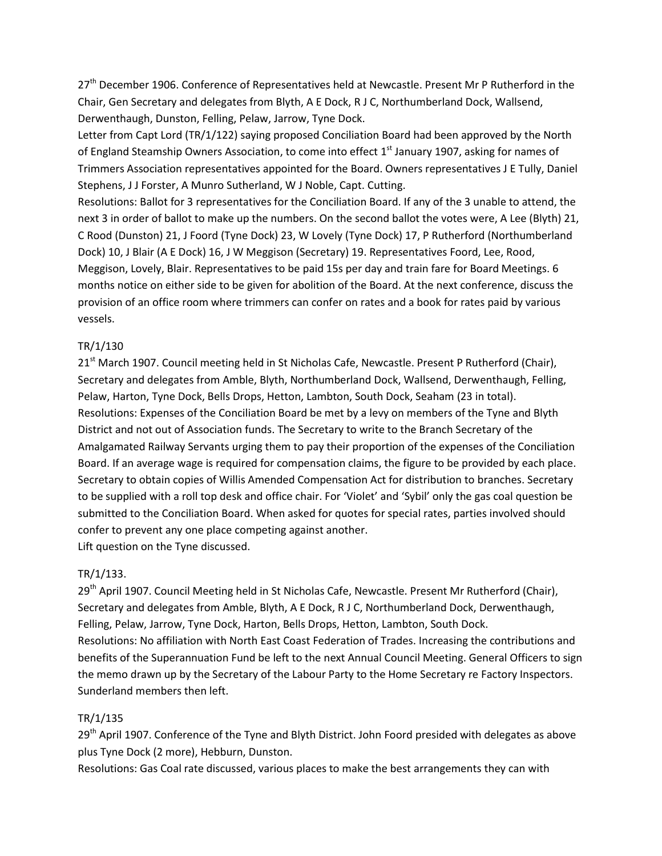27<sup>th</sup> December 1906. Conference of Representatives held at Newcastle. Present Mr P Rutherford in the Chair, Gen Secretary and delegates from Blyth, A E Dock, R J C, Northumberland Dock, Wallsend, Derwenthaugh, Dunston, Felling, Pelaw, Jarrow, Tyne Dock.

Letter from Capt Lord (TR/1/122) saying proposed Conciliation Board had been approved by the North of England Steamship Owners Association, to come into effect 1<sup>st</sup> January 1907, asking for names of Trimmers Association representatives appointed for the Board. Owners representatives J E Tully, Daniel Stephens, J J Forster, A Munro Sutherland, W J Noble, Capt. Cutting.

Resolutions: Ballot for 3 representatives for the Conciliation Board. If any of the 3 unable to attend, the next 3 in order of ballot to make up the numbers. On the second ballot the votes were, A Lee (Blyth) 21, C Rood (Dunston) 21, J Foord (Tyne Dock) 23, W Lovely (Tyne Dock) 17, P Rutherford (Northumberland Dock) 10, J Blair (A E Dock) 16, J W Meggison (Secretary) 19. Representatives Foord, Lee, Rood, Meggison, Lovely, Blair. Representatives to be paid 15s per day and train fare for Board Meetings. 6 months notice on either side to be given for abolition of the Board. At the next conference, discuss the provision of an office room where trimmers can confer on rates and a book for rates paid by various vessels.

#### TR/1/130

21<sup>st</sup> March 1907. Council meeting held in St Nicholas Cafe, Newcastle. Present P Rutherford (Chair), Secretary and delegates from Amble, Blyth, Northumberland Dock, Wallsend, Derwenthaugh, Felling, Pelaw, Harton, Tyne Dock, Bells Drops, Hetton, Lambton, South Dock, Seaham (23 in total). Resolutions: Expenses of the Conciliation Board be met by a levy on members of the Tyne and Blyth District and not out of Association funds. The Secretary to write to the Branch Secretary of the Amalgamated Railway Servants urging them to pay their proportion of the expenses of the Conciliation Board. If an average wage is required for compensation claims, the figure to be provided by each place. Secretary to obtain copies of Willis Amended Compensation Act for distribution to branches. Secretary to be supplied with a roll top desk and office chair. For 'Violet' and 'Sybil' only the gas coal question be submitted to the Conciliation Board. When asked for quotes for special rates, parties involved should confer to prevent any one place competing against another. Lift question on the Tyne discussed.

#### TR/1/133.

29<sup>th</sup> April 1907. Council Meeting held in St Nicholas Cafe, Newcastle. Present Mr Rutherford (Chair), Secretary and delegates from Amble, Blyth, A E Dock, R J C, Northumberland Dock, Derwenthaugh, Felling, Pelaw, Jarrow, Tyne Dock, Harton, Bells Drops, Hetton, Lambton, South Dock. Resolutions: No affiliation with North East Coast Federation of Trades. Increasing the contributions and benefits of the Superannuation Fund be left to the next Annual Council Meeting. General Officers to sign the memo drawn up by the Secretary of the Labour Party to the Home Secretary re Factory Inspectors. Sunderland members then left.

### TR/1/135

29<sup>th</sup> April 1907. Conference of the Tyne and Blyth District. John Foord presided with delegates as above plus Tyne Dock (2 more), Hebburn, Dunston.

Resolutions: Gas Coal rate discussed, various places to make the best arrangements they can with